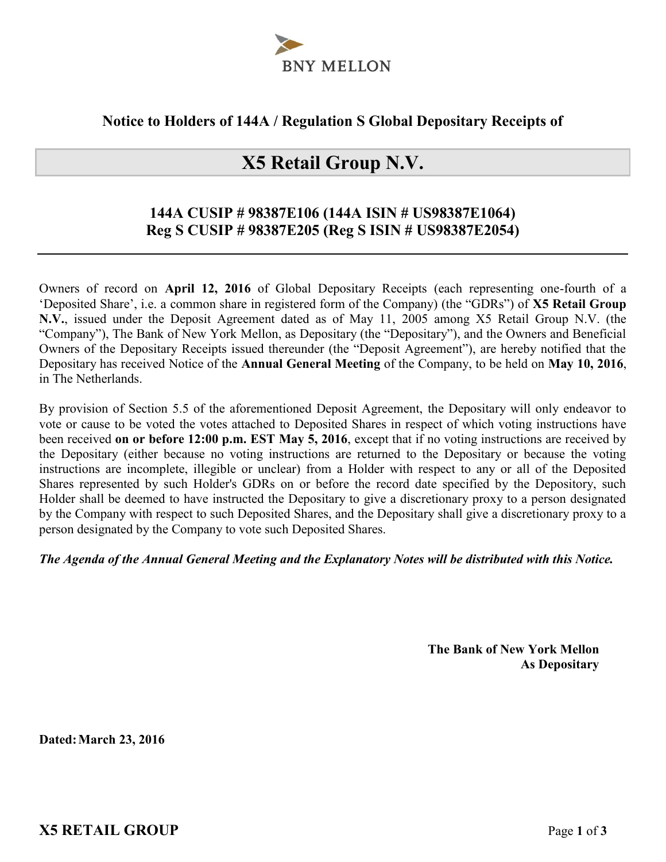

## **Notice to Holders of 144A / Regulation S Global Depositary Receipts of**

# **X5 Retail Group N.V.**

## **144A CUSIP # 98387E106 (144A ISIN # US98387E1064) Reg S CUSIP # 98387E205 (Reg S ISIN # US98387E2054)**

Owners of record on **April 12, 2016** of Global Depositary Receipts (each representing one-fourth of a 'Deposited Share', i.e. a common share in registered form of the Company) (the "GDRs") of **X5 Retail Group N.V.**, issued under the Deposit Agreement dated as of May 11, 2005 among X5 Retail Group N.V. (the "Company"), The Bank of New York Mellon, as Depositary (the "Depositary"), and the Owners and Beneficial Owners of the Depositary Receipts issued thereunder (the "Deposit Agreement"), are hereby notified that the Depositary has received Notice of the **Annual General Meeting** of the Company, to be held on **May 10, 2016**, in The Netherlands.

By provision of Section 5.5 of the aforementioned Deposit Agreement, the Depositary will only endeavor to vote or cause to be voted the votes attached to Deposited Shares in respect of which voting instructions have been received **on or before 12:00 p.m. EST May 5, 2016**, except that if no voting instructions are received by the Depositary (either because no voting instructions are returned to the Depositary or because the voting instructions are incomplete, illegible or unclear) from a Holder with respect to any or all of the Deposited Shares represented by such Holder's GDRs on or before the record date specified by the Depository, such Holder shall be deemed to have instructed the Depositary to give a discretionary proxy to a person designated by the Company with respect to such Deposited Shares, and the Depositary shall give a discretionary proxy to a person designated by the Company to vote such Deposited Shares.

#### *The Agenda of the Annual General Meeting and the Explanatory Notes will be distributed with this Notice.*

**The Bank of New York Mellon As Depositary**

**Dated:March 23, 2016**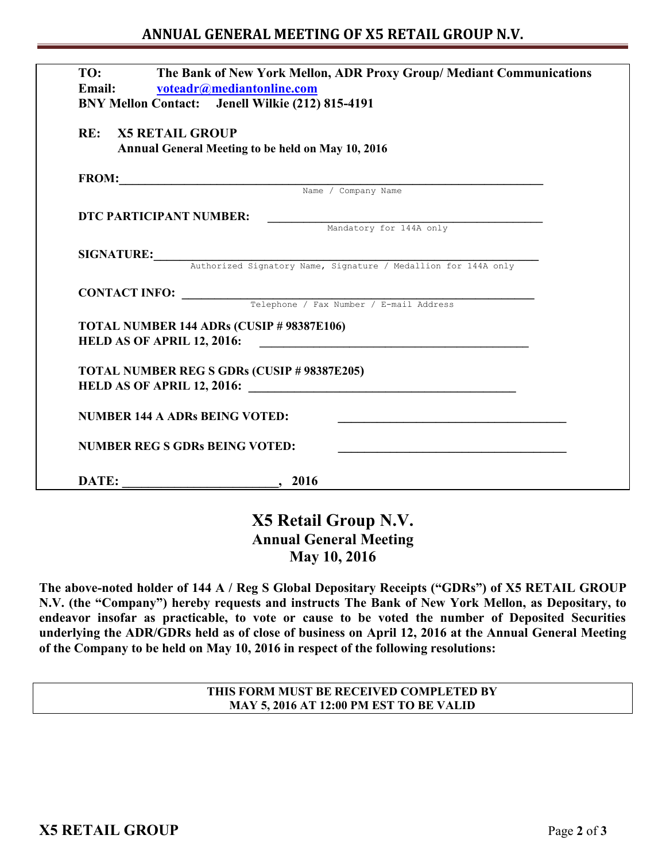## **ANNUAL GENERAL MEETING OF X5 RETAIL GROUP N.V.**

| TO:                        | The Bank of New York Mellon, ADR Proxy Group/ Mediant Communications<br>Email: voteadr@mediantonline.com<br>BNY Mellon Contact: Jenell Wilkie (212) 815-4191 |
|----------------------------|--------------------------------------------------------------------------------------------------------------------------------------------------------------|
| <b>RE: X5 RETAIL GROUP</b> | Annual General Meeting to be held on May 10, 2016                                                                                                            |
|                            | FROM: Name / Company Name / Company Name                                                                                                                     |
|                            |                                                                                                                                                              |
| DTC PARTICIPANT NUMBER:    |                                                                                                                                                              |
|                            | Mandatory for 144A only                                                                                                                                      |
|                            |                                                                                                                                                              |
|                            | SIGNATURE: Authorized Signatory Name, Signature / Medallion for 144A only                                                                                    |
|                            |                                                                                                                                                              |
|                            | <b>CONTACT INFO:</b> Telephone / Fax Number / E-mail Address                                                                                                 |
|                            | TOTAL NUMBER 144 ADRs (CUSIP # 98387E106)                                                                                                                    |
|                            | HELD AS OF APRIL 12, 2016:                                                                                                                                   |
|                            | <b>TOTAL NUMBER REG S GDRs (CUSIP # 98387E205)</b>                                                                                                           |
|                            |                                                                                                                                                              |
|                            | <b>NUMBER 144 A ADRs BEING VOTED:</b>                                                                                                                        |
|                            | <b>NUMBER REG S GDRs BEING VOTED:</b>                                                                                                                        |
|                            |                                                                                                                                                              |

# **X5 Retail Group N.V. Annual General Meeting May 10, 2016**

**The above-noted holder of 144 A / Reg S Global Depositary Receipts ("GDRs") of X5 RETAIL GROUP N.V. (the "Company") hereby requests and instructs The Bank of New York Mellon, as Depositary, to endeavor insofar as practicable, to vote or cause to be voted the number of Deposited Securities underlying the ADR/GDRs held as of close of business on April 12, 2016 at the Annual General Meeting of the Company to be held on May 10, 2016 in respect of the following resolutions:** 

> **THIS FORM MUST BE RECEIVED COMPLETED BY MAY 5, 2016 AT 12:00 PM EST TO BE VALID**